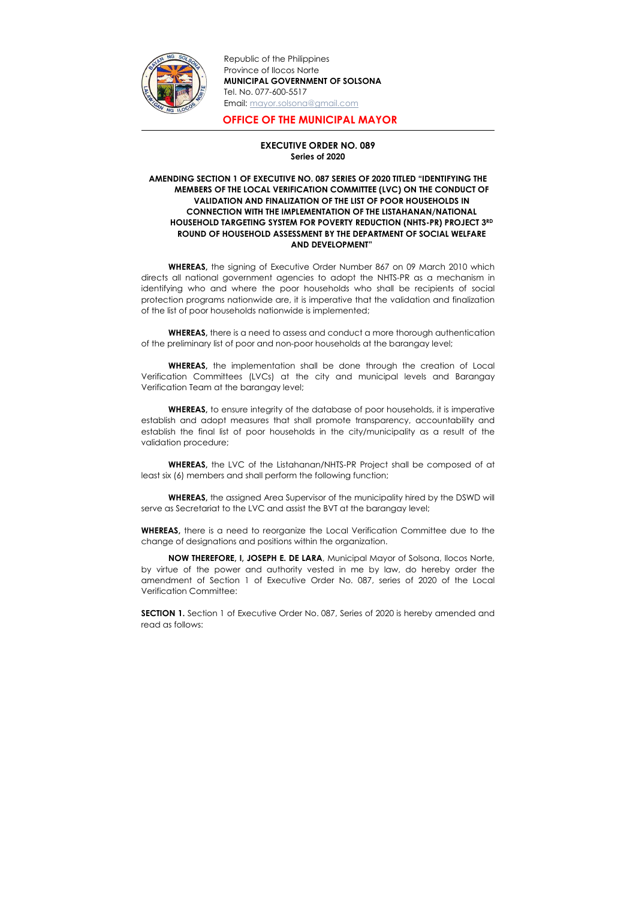

Republic of the Philippines Province of Ilocos Norte MUNICIPAL GOVERNMENT OF SOLSONA Tel. No. 077-600-5517 Email: mayor.solsona@gmail.com

## OFFICE OF THE MUNICIPAL MAYOR

## EXECUTIVE ORDER NO. 089 Series of 2020

## AMENDING SECTION 1 OF EXECUTIVE NO. 087 SERIES OF 2020 TITLED "IDENTIFYING THE MEMBERS OF THE LOCAL VERIFICATION COMMITTEE (LVC) ON THE CONDUCT OF VALIDATION AND FINALIZATION OF THE LIST OF POOR HOUSEHOLDS IN CONNECTION WITH THE IMPLEMENTATION OF THE LISTAHANAN/NATIONAL HOUSEHOLD TARGETING SYSTEM FOR POVERTY REDUCTION (NHTS-PR) PROJECT 3RD ROUND OF HOUSEHOLD ASSESSMENT BY THE DEPARTMENT OF SOCIAL WELFARE AND DEVELOPMENT"

WHEREAS, there is a need to assess and conduct a more thorough authentication of the preliminary list of poor and non-poor households at the barangay level;

WHEREAS, the signing of Executive Order Number 867 on 09 March 2010 which directs all national government agencies to adopt the NHTS-PR as a mechanism in identifying who and where the poor households who shall be recipients of social protection programs nationwide are, it is imperative that the validation and finalization of the list of poor households nationwide is implemented;

WHEREAS, the assigned Area Supervisor of the municipality hired by the DSWD will serve as Secretariat to the LVC and assist the BVT at the barangay level;

WHEREAS, there is a need to reorganize the Local Verification Committee due to the change of designations and positions within the organization.

WHEREAS, the implementation shall be done through the creation of Local Verification Committees (LVCs) at the city and municipal levels and Barangay Verification Team at the barangay level;

WHEREAS, to ensure integrity of the database of poor households, it is imperative establish and adopt measures that shall promote transparency, accountability and establish the final list of poor households in the city/municipality as a result of the validation procedure;

WHEREAS, the LVC of the Listahanan/NHTS-PR Project shall be composed of at least six (6) members and shall perform the following function;

NOW THEREFORE, I, JOSEPH E. DE LARA, Municipal Mayor of Solsona, Ilocos Norte, by virtue of the power and authority vested in me by law, do hereby order the amendment of Section 1 of Executive Order No. 087, series of 2020 of the Local Verification Committee:

SECTION 1. Section 1 of Executive Order No. 087, Series of 2020 is hereby amended and read as follows: